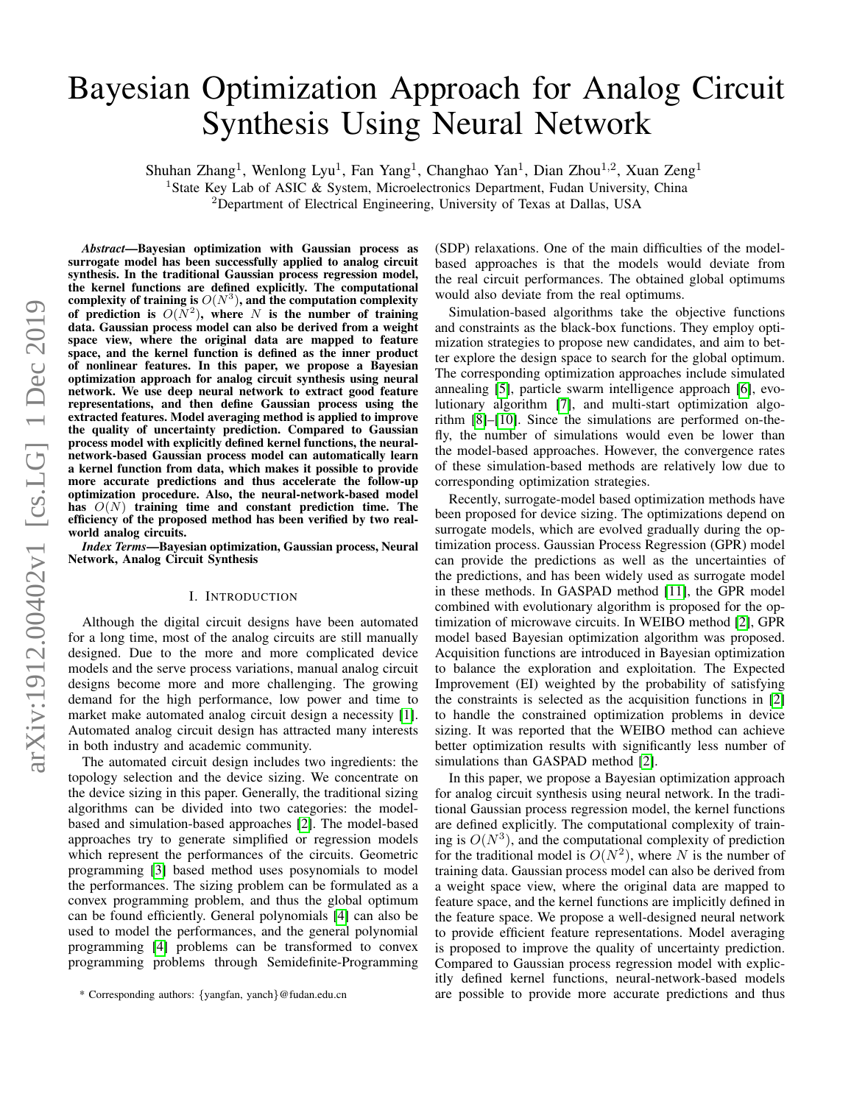# Bayesian Optimization Approach for Analog Circuit Synthesis Using Neural Network

Shuhan Zhang<sup>1</sup>, Wenlong Lyu<sup>1</sup>, Fan Yang<sup>1</sup>, Changhao Yan<sup>1</sup>, Dian Zhou<sup>1,2</sup>, Xuan Zeng<sup>1</sup>

<sup>1</sup>State Key Lab of ASIC & System, Microelectronics Department, Fudan University, China

<sup>2</sup>Department of Electrical Engineering, University of Texas at Dallas, USA

*Abstract*—Bayesian optimization with Gaussian process as surrogate model has been successfully applied to analog circuit synthesis. In the traditional Gaussian process regression model, the kernel functions are defined explicitly. The computational complexity of training is  $O(N^3)$ , and the computation complexity of prediction is  $O(N^2)$ , where N is the number of training data. Gaussian process model can also be derived from a weight space view, where the original data are mapped to feature space, and the kernel function is defined as the inner product of nonlinear features. In this paper, we propose a Bayesian optimization approach for analog circuit synthesis using neural network. We use deep neural network to extract good feature representations, and then define Gaussian process using the extracted features. Model averaging method is applied to improve the quality of uncertainty prediction. Compared to Gaussian process model with explicitly defined kernel functions, the neuralnetwork-based Gaussian process model can automatically learn a kernel function from data, which makes it possible to provide more accurate predictions and thus accelerate the follow-up optimization procedure. Also, the neural-network-based model has  $O(N)$  training time and constant prediction time. The efficiency of the proposed method has been verified by two realworld analog circuits.

*Index Terms*—Bayesian optimization, Gaussian process, Neural Network, Analog Circuit Synthesis

# I. INTRODUCTION

Although the digital circuit designs have been automated for a long time, most of the analog circuits are still manually designed. Due to the more and more complicated device models and the serve process variations, manual analog circuit designs become more and more challenging. The growing demand for the high performance, low power and time to market make automated analog circuit design a necessity [\[1\]](#page-5-0). Automated analog circuit design has attracted many interests in both industry and academic community.

The automated circuit design includes two ingredients: the topology selection and the device sizing. We concentrate on the device sizing in this paper. Generally, the traditional sizing algorithms can be divided into two categories: the modelbased and simulation-based approaches [\[2\]](#page-5-1). The model-based approaches try to generate simplified or regression models which represent the performances of the circuits. Geometric programming [\[3\]](#page-5-2) based method uses posynomials to model the performances. The sizing problem can be formulated as a convex programming problem, and thus the global optimum can be found efficiently. General polynomials [\[4\]](#page-5-3) can also be used to model the performances, and the general polynomial programming [\[4\]](#page-5-3) problems can be transformed to convex programming problems through Semidefinite-Programming (SDP) relaxations. One of the main difficulties of the modelbased approaches is that the models would deviate from the real circuit performances. The obtained global optimums would also deviate from the real optimums.

Simulation-based algorithms take the objective functions and constraints as the black-box functions. They employ optimization strategies to propose new candidates, and aim to better explore the design space to search for the global optimum. The corresponding optimization approaches include simulated annealing [\[5\]](#page-5-4), particle swarm intelligence approach [\[6\]](#page-5-5), evolutionary algorithm [\[7\]](#page-5-6), and multi-start optimization algorithm [\[8\]](#page-5-7)–[\[10\]](#page-5-8). Since the simulations are performed on-thefly, the number of simulations would even be lower than the model-based approaches. However, the convergence rates of these simulation-based methods are relatively low due to corresponding optimization strategies.

Recently, surrogate-model based optimization methods have been proposed for device sizing. The optimizations depend on surrogate models, which are evolved gradually during the optimization process. Gaussian Process Regression (GPR) model can provide the predictions as well as the uncertainties of the predictions, and has been widely used as surrogate model in these methods. In GASPAD method [\[11\]](#page-5-9), the GPR model combined with evolutionary algorithm is proposed for the optimization of microwave circuits. In WEIBO method [\[2\]](#page-5-1), GPR model based Bayesian optimization algorithm was proposed. Acquisition functions are introduced in Bayesian optimization to balance the exploration and exploitation. The Expected Improvement (EI) weighted by the probability of satisfying the constraints is selected as the acquisition functions in [\[2\]](#page-5-1) to handle the constrained optimization problems in device sizing. It was reported that the WEIBO method can achieve better optimization results with significantly less number of simulations than GASPAD method [\[2\]](#page-5-1).

In this paper, we propose a Bayesian optimization approach for analog circuit synthesis using neural network. In the traditional Gaussian process regression model, the kernel functions are defined explicitly. The computational complexity of training is  $O(N^3)$ , and the computational complexity of prediction for the traditional model is  $O(N^2)$ , where N is the number of training data. Gaussian process model can also be derived from a weight space view, where the original data are mapped to feature space, and the kernel functions are implicitly defined in the feature space. We propose a well-designed neural network to provide efficient feature representations. Model averaging is proposed to improve the quality of uncertainty prediction. Compared to Gaussian process regression model with explicitly defined kernel functions, neural-network-based models are possible to provide more accurate predictions and thus

<sup>\*</sup> Corresponding authors: {yangfan, yanch}@fudan.edu.cn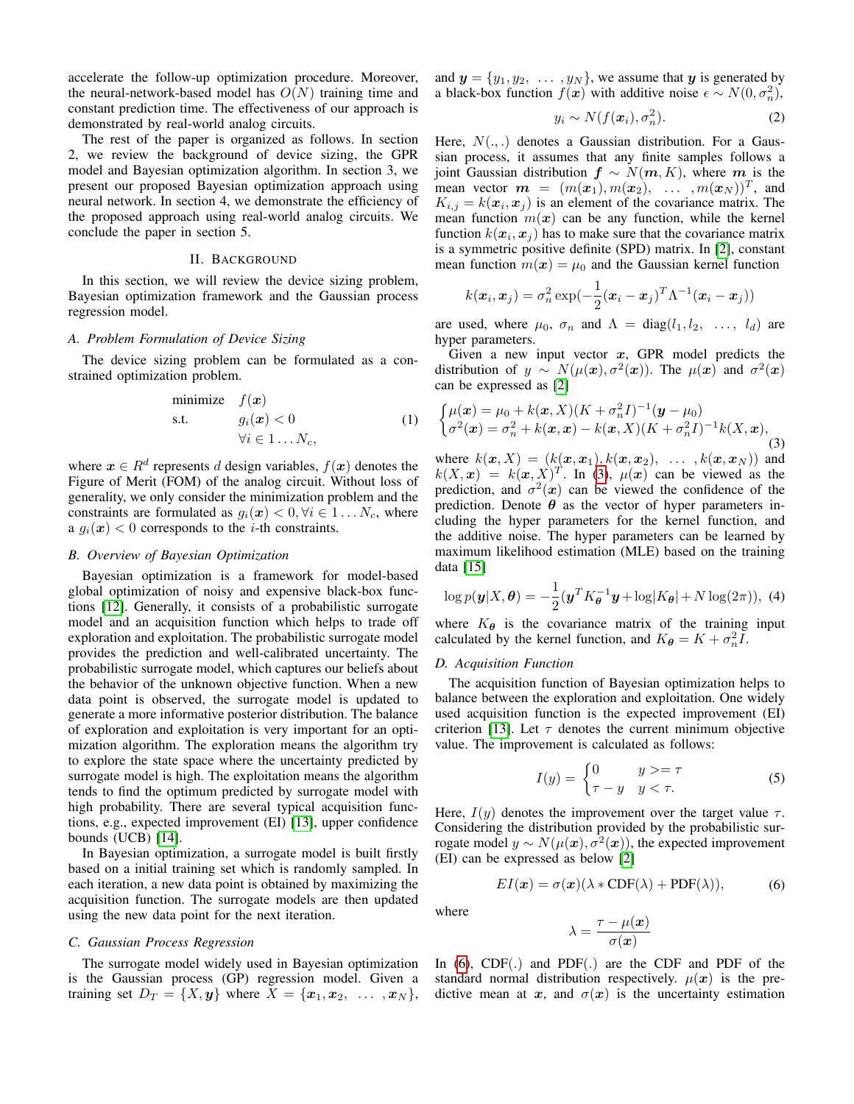accelerate the follow-up optimization procedure. Moreover, the neural-network-based model has  $O(N)$  training time and constant prediction time. The effectiveness of our approach is demonstrated by real-world analog circuits.

The rest of the paper is organized as follows. In section 2, we review the background of device sizing, the GPR model and Bayesian optimization algorithm. In section 3, we present our proposed Bayesian optimization approach using neural network. In section 4, we demonstrate the efficiency of the proposed approach using real-world analog circuits. We conclude the paper in section 5.

# II. BACKGROUND

In this section, we will review the device sizing problem, Bayesian optimization framework and the Gaussian process regression model.

## *A. Problem Formulation of Device Sizing*

The device sizing problem can be formulated as a constrained optimization problem.

minimize 
$$
f(\mathbf{x})
$$
  
s.t.  $g_i(\mathbf{x}) < 0$   
 $\forall i \in 1...N_c,$  (1)

where  $x \in R^d$  represents d design variables,  $f(x)$  denotes the Figure of Merit (FOM) of the analog circuit. Without loss of generality, we only consider the minimization problem and the constraints are formulated as  $g_i(\mathbf{x}) < 0, \forall i \in 1 \dots N_c$ , where a  $g_i(x)$  < 0 corresponds to the *i*-th constraints.

#### *B. Overview of Bayesian Optimization*

Bayesian optimization is a framework for model-based global optimization of noisy and expensive black-box functions [\[12\]](#page-5-10). Generally, it consists of a probabilistic surrogate model and an acquisition function which helps to trade off exploration and exploitation. The probabilistic surrogate model provides the prediction and well-calibrated uncertainty. The probabilistic surrogate model, which captures our beliefs about the behavior of the unknown objective function. When a new data point is observed, the surrogate model is updated to generate a more informative posterior distribution. The balance of exploration and exploitation is very important for an optimization algorithm. The exploration means the algorithm try to explore the state space where the uncertainty predicted by surrogate model is high. The exploitation means the algorithm tends to find the optimum predicted by surrogate model with high probability. There are several typical acquisition functions, e.g., expected improvement (EI) [\[13\]](#page-5-11), upper confidence bounds (UCB) [\[14\]](#page-5-12).

In Bayesian optimization, a surrogate model is built firstly based on a initial training set which is randomly sampled. In each iteration, a new data point is obtained by maximizing the acquisition function. The surrogate models are then updated using the new data point for the next iteration.

## *C. Gaussian Process Regression*

The surrogate model widely used in Bayesian optimization is the Gaussian process (GP) regression model. Given a training set  $D_T = \{X, y\}$  where  $X = \{x_1, x_2, \ldots, x_N\}$ , and  $y = \{y_1, y_2, \ldots, y_N\}$ , we assume that y is generated by a black-box function  $f(x)$  with additive noise  $\epsilon \sim N(0, \sigma_n^2)$ ,

$$
y_i \sim N(f(\boldsymbol{x}_i), \sigma_n^2). \tag{2}
$$

Here,  $N(.,.)$  denotes a Gaussian distribution. For a Gaussian process, it assumes that any finite samples follows a joint Gaussian distribution  $f \sim N(m, K)$ , where m is the mean vector  $\mathbf{m} = (m(\mathbf{x}_1), m(\mathbf{x}_2), \dots, m(\mathbf{x}_N))^T$ , and  $K_{i,j} = k(\mathbf{x}_i, \mathbf{x}_j)$  is an element of the covariance matrix. The mean function  $m(x)$  can be any function, while the kernel function  $k(\mathbf{x}_i, \mathbf{x}_j)$  has to make sure that the covariance matrix is a symmetric positive definite (SPD) matrix. In [\[2\]](#page-5-1), constant mean function  $m(x) = \mu_0$  and the Gaussian kernel function

$$
k(\boldsymbol{x}_i, \boldsymbol{x}_j) = \sigma_n^2 \exp(-\frac{1}{2}(\boldsymbol{x}_i - \boldsymbol{x}_j)^T \Lambda^{-1} (\boldsymbol{x}_i - \boldsymbol{x}_j))
$$

are used, where  $\mu_0$ ,  $\sigma_n$  and  $\Lambda = \text{diag}(l_1, l_2, \ldots, l_d)$  are hyper parameters.

Given a new input vector  $x$ , GPR model predicts the distribution of  $y \sim N(\mu(x), \sigma^2(x))$ . The  $\mu(x)$  and  $\sigma^2(x)$ can be expressed as [\[2\]](#page-5-1)

<span id="page-1-0"></span>
$$
\begin{cases}\n\mu(\boldsymbol{x}) = \mu_0 + k(\boldsymbol{x}, X)(K + \sigma_n^2 I)^{-1}(\boldsymbol{y} - \mu_0) \\
\sigma^2(\boldsymbol{x}) = \sigma_n^2 + k(\boldsymbol{x}, \boldsymbol{x}) - k(\boldsymbol{x}, X)(K + \sigma_n^2 I)^{-1} k(X, \boldsymbol{x}),\n\end{cases}
$$
\nwhere  $h(\boldsymbol{x}, X) = (h(\boldsymbol{x}, \boldsymbol{x})) h(\boldsymbol{x}, \boldsymbol{x}) = (h(\boldsymbol{x}, \boldsymbol{x})) h(\boldsymbol{x}, \boldsymbol{x})$ , and

where  $k(\mathbf{x}, X) = (k(\mathbf{x}, \mathbf{x}_1), k(\mathbf{x}, \mathbf{x}_2), \ldots, k(\mathbf{x}, \mathbf{x}_N))$  and  $k(X, x) = k(x, X)^T$ . In [\(3\)](#page-1-0),  $\mu(x)$  can be viewed as the prediction, and  $\sigma^2(x)$  can be viewed the confidence of the prediction. Denote  $\theta$  as the vector of hyper parameters including the hyper parameters for the kernel function, and the additive noise. The hyper parameters can be learned by maximum likelihood estimation (MLE) based on the training data [\[15\]](#page-5-13)

<span id="page-1-2"></span>
$$
\log p(\mathbf{y}|X,\boldsymbol{\theta}) = -\frac{1}{2}(\mathbf{y}^T K_{\boldsymbol{\theta}}^{-1}\mathbf{y} + \log|K_{\boldsymbol{\theta}}| + N\log(2\pi)), \tag{4}
$$

where  $K_{\theta}$  is the covariance matrix of the training input calculated by the kernel function, and  $K_{\theta} = K + \sigma_n^2 \overline{I}$ .

#### *D. Acquisition Function*

The acquisition function of Bayesian optimization helps to balance between the exploration and exploitation. One widely used acquisition function is the expected improvement (EI) criterion [\[13\]](#page-5-11). Let  $\tau$  denotes the current minimum objective value. The improvement is calculated as follows:

$$
I(y) = \begin{cases} 0 & y >= \tau \\ \tau - y & y < \tau. \end{cases}
$$
 (5)

Here,  $I(y)$  denotes the improvement over the target value  $\tau$ . Considering the distribution provided by the probabilistic surrogate model  $y \sim N(\mu(\bm{x}), \sigma^2(\bm{x}))$ , the expected improvement (EI) can be expressed as below [\[2\]](#page-5-1)

$$
EI(x) = \sigma(x)(\lambda * CDF(\lambda) + PDF(\lambda)),
$$
 (6)

<span id="page-1-1"></span>where

$$
\lambda = \frac{\tau - \mu(\boldsymbol{x})}{\sigma(\boldsymbol{x})}
$$

In [\(6\)](#page-1-1), CDF(.) and PDF(.) are the CDF and PDF of the standard normal distribution respectively.  $\mu(x)$  is the predictive mean at x, and  $\sigma(x)$  is the uncertainty estimation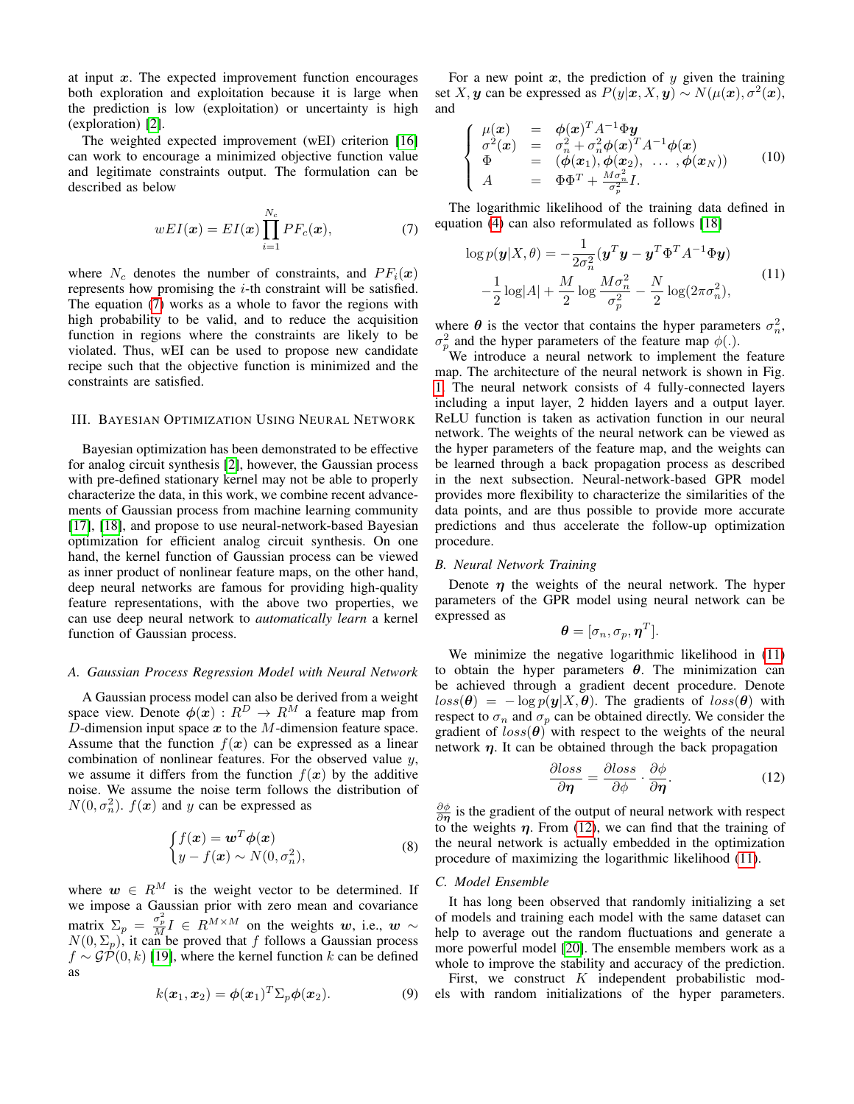at input  $x$ . The expected improvement function encourages both exploration and exploitation because it is large when the prediction is low (exploitation) or uncertainty is high (exploration) [\[2\]](#page-5-1).

The weighted expected improvement (wEI) criterion [\[16\]](#page-5-14) can work to encourage a minimized objective function value and legitimate constraints output. The formulation can be described as below

<span id="page-2-0"></span>
$$
wEI(\boldsymbol{x}) = EI(\boldsymbol{x}) \prod_{i=1}^{N_c} PF_c(\boldsymbol{x}), \qquad (7)
$$

where  $N_c$  denotes the number of constraints, and  $PF_i(x)$ represents how promising the  $i$ -th constraint will be satisfied. The equation [\(7\)](#page-2-0) works as a whole to favor the regions with high probability to be valid, and to reduce the acquisition function in regions where the constraints are likely to be violated. Thus, wEI can be used to propose new candidate recipe such that the objective function is minimized and the constraints are satisfied.

# III. BAYESIAN OPTIMIZATION USING NEURAL NETWORK

Bayesian optimization has been demonstrated to be effective for analog circuit synthesis [\[2\]](#page-5-1), however, the Gaussian process with pre-defined stationary kernel may not be able to properly characterize the data, in this work, we combine recent advancements of Gaussian process from machine learning community [\[17\]](#page-5-15), [\[18\]](#page-5-16), and propose to use neural-network-based Bayesian optimization for efficient analog circuit synthesis. On one hand, the kernel function of Gaussian process can be viewed as inner product of nonlinear feature maps, on the other hand, deep neural networks are famous for providing high-quality feature representations, with the above two properties, we can use deep neural network to *automatically learn* a kernel function of Gaussian process.

#### *A. Gaussian Process Regression Model with Neural Network*

A Gaussian process model can also be derived from a weight space view. Denote  $\phi(x): R^D \to R^M$  a feature map from D-dimension input space  $x$  to the  $M$ -dimension feature space. Assume that the function  $f(x)$  can be expressed as a linear combination of nonlinear features. For the observed value  $y$ , we assume it differs from the function  $f(x)$  by the additive noise. We assume the noise term follows the distribution of  $N(0, \sigma_n^2)$ .  $f(x)$  and y can be expressed as

$$
\begin{cases} f(\boldsymbol{x}) = \boldsymbol{w}^T \boldsymbol{\phi}(\boldsymbol{x}) \\ y - f(\boldsymbol{x}) \sim N(0, \sigma_n^2), \end{cases} \tag{8}
$$

where  $w \in R^M$  is the weight vector to be determined. If we impose a Gaussian prior with zero mean and covariance matrix  $\Sigma_p = \frac{\sigma_p^2}{M} I \in R^{M \times M}$  on the weights w, i.e., w ~  $N(0, \Sigma_p)$ , it can be proved that f follows a Gaussian process  $f \sim \mathcal{GP}(0, k)$  [\[19\]](#page-5-17), where the kernel function k can be defined as

$$
k(\boldsymbol{x}_1, \boldsymbol{x}_2) = \boldsymbol{\phi}(\boldsymbol{x}_1)^T \Sigma_p \boldsymbol{\phi}(\boldsymbol{x}_2).
$$
 (9)

For a new point  $x$ , the prediction of  $y$  given the training set X, y can be expressed as  $P(y|\mathbf{x}, X, y) \sim N(\mu(\mathbf{x}), \sigma^2(\mathbf{x}))$ , and

$$
\begin{cases}\n\mu(x) &= \phi(x)^T A^{-1} \Phi y \\
\sigma^2(x) &= \sigma_n^2 + \sigma_n^2 \phi(x)^T A^{-1} \phi(x) \\
\Phi &= (\phi(x_1), \phi(x_2), \dots, \phi(x_N)) \\
A &= \Phi \Phi^T + \frac{M \sigma_n^2}{\sigma_p^2} I.\n\end{cases}
$$
\n(10)

The logarithmic likelihood of the training data defined in equation [\(4\)](#page-1-2) can also reformulated as follows [\[18\]](#page-5-16)

<span id="page-2-1"></span>
$$
\log p(\mathbf{y}|X,\theta) = -\frac{1}{2\sigma_n^2} (\mathbf{y}^T \mathbf{y} - \mathbf{y}^T \Phi^T A^{-1} \Phi \mathbf{y})
$$

$$
-\frac{1}{2} \log|A| + \frac{M}{2} \log \frac{M\sigma_n^2}{\sigma_p^2} - \frac{N}{2} \log(2\pi\sigma_n^2),
$$
(11)

where  $\theta$  is the vector that contains the hyper parameters  $\sigma_n^2$ ,  $\sigma_p^2$  and the hyper parameters of the feature map  $\phi(.)$ .

We introduce a neural network to implement the feature map. The architecture of the neural network is shown in Fig. [1.](#page-3-0) The neural network consists of 4 fully-connected layers including a input layer, 2 hidden layers and a output layer. ReLU function is taken as activation function in our neural network. The weights of the neural network can be viewed as the hyper parameters of the feature map, and the weights can be learned through a back propagation process as described in the next subsection. Neural-network-based GPR model provides more flexibility to characterize the similarities of the data points, and are thus possible to provide more accurate predictions and thus accelerate the follow-up optimization procedure.

## *B. Neural Network Training*

Denote  $\eta$  the weights of the neural network. The hyper parameters of the GPR model using neural network can be expressed as

$$
\boldsymbol{\theta} = [\sigma_n, \sigma_p, \boldsymbol{\eta}^T].
$$

We minimize the negative logarithmic likelihood in  $(11)$ to obtain the hyper parameters  $\theta$ . The minimization can be achieved through a gradient decent procedure. Denote  $loss(\theta) = -\log p(\mathbf{y}|X, \theta)$ . The gradients of  $loss(\theta)$  with respect to  $\sigma_n$  and  $\sigma_p$  can be obtained directly. We consider the gradient of  $loss(\theta)$  with respect to the weights of the neural network  $\eta$ . It can be obtained through the back propagation

<span id="page-2-2"></span>
$$
\frac{\partial loss}{\partial \eta} = \frac{\partial loss}{\partial \phi} \cdot \frac{\partial \phi}{\partial \eta}.
$$
 (12)

 $\frac{\partial \phi}{\partial \eta}$  is the gradient of the output of neural network with respect to the weights  $\eta$ . From [\(12\)](#page-2-2), we can find that the training of the neural network is actually embedded in the optimization procedure of maximizing the logarithmic likelihood [\(11\)](#page-2-1).

#### *C. Model Ensemble*

It has long been observed that randomly initializing a set of models and training each model with the same dataset can help to average out the random fluctuations and generate a more powerful model [\[20\]](#page-5-18). The ensemble members work as a whole to improve the stability and accuracy of the prediction.

First, we construct  $K$  independent probabilistic models with random initializations of the hyper parameters.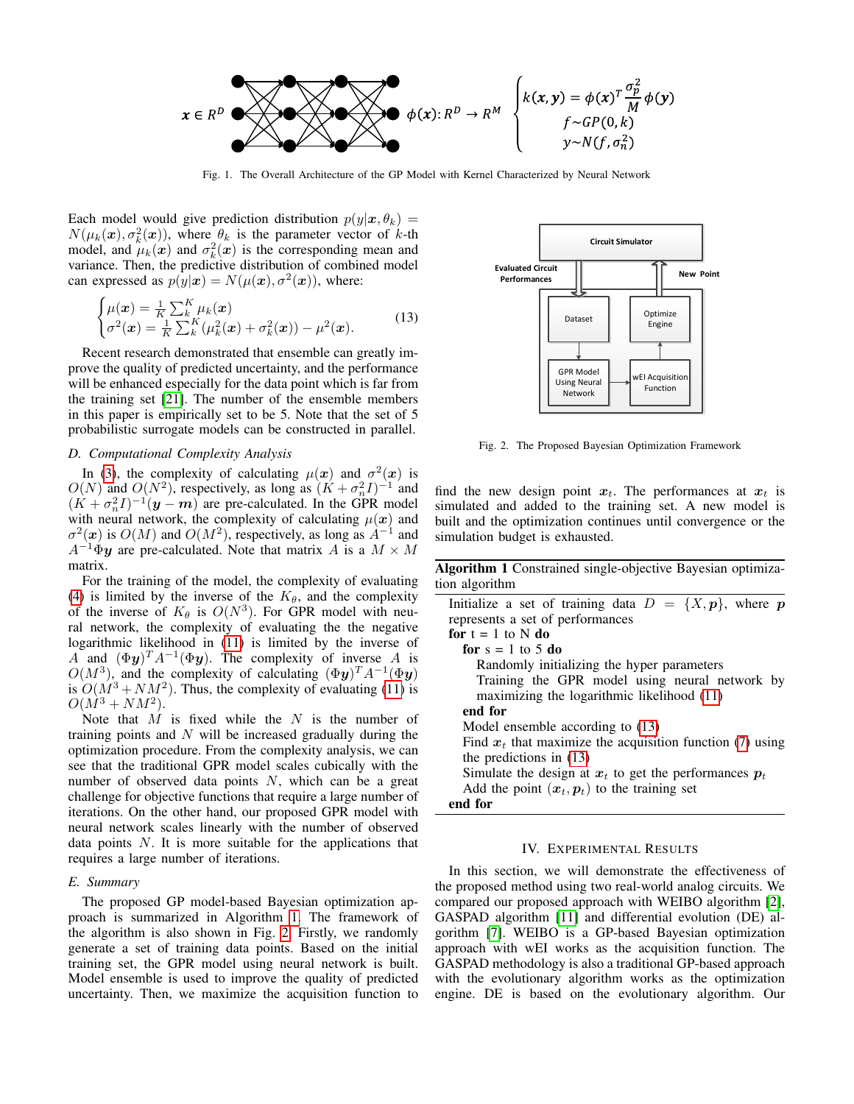

<span id="page-3-0"></span>Fig. 1. The Overall Architecture of the GP Model with Kernel Characterized by Neural Network

Each model would give prediction distribution  $p(y|\mathbf{x}, \theta_k) =$  $N(\mu_k(\bm{x}), \sigma_k^2(\bm{x}))$ , where  $\theta_k$  is the parameter vector of k-th model, and  $\mu_k(x)$  and  $\sigma_k^2(x)$  is the corresponding mean and variance. Then, the predictive distribution of combined model can expressed as  $p(y|\mathbf{x}) = N(\mu(\mathbf{x}), \sigma^2(\mathbf{x}))$ , where:

<span id="page-3-3"></span>
$$
\begin{cases}\n\mu(\boldsymbol{x}) = \frac{1}{K} \sum_{k}^{K} \mu_k(\boldsymbol{x}) \\
\sigma^2(\boldsymbol{x}) = \frac{1}{K} \sum_{k}^{K} (\mu_k^2(\boldsymbol{x}) + \sigma_k^2(\boldsymbol{x})) - \mu^2(\boldsymbol{x}).\n\end{cases} (13)
$$

Recent research demonstrated that ensemble can greatly improve the quality of predicted uncertainty, and the performance will be enhanced especially for the data point which is far from the training set [\[21\]](#page-5-19). The number of the ensemble members in this paper is empirically set to be 5. Note that the set of 5 probabilistic surrogate models can be constructed in parallel.

# *D. Computational Complexity Analysis*

In [\(3\)](#page-1-0), the complexity of calculating  $\mu(x)$  and  $\sigma^2(x)$  is  $O(N)$  and  $O(N^2)$ , respectively, as long as  $(K + \sigma_n^2 I)^{-1}$  and  $(K + \sigma_n^2 I)^{-1}(\mathbf{y} - \mathbf{m})$  are pre-calculated. In the GPR model with neural network, the complexity of calculating  $\mu(x)$  and  $\sigma^2(x)$  is  $O(M)$  and  $O(M^2)$ , respectively, as long as  $A^{-1}$  and  $A^{-1}\Phi y$  are pre-calculated. Note that matrix A is a  $M \times M$ matrix.

For the training of the model, the complexity of evaluating [\(4\)](#page-1-2) is limited by the inverse of the  $K_{\theta}$ , and the complexity of the inverse of  $K_{\theta}$  is  $O(N^3)$ . For GPR model with neural network, the complexity of evaluating the the negative logarithmic likelihood in [\(11\)](#page-2-1) is limited by the inverse of A and  $(\Phi y)^T A^{-1} (\Phi y)$ . The complexity of inverse A is  $O(M^3)$ , and the complexity of calculating  $(\Phi \mathbf{y})^T A^{-1} (\Phi \mathbf{y})$ is  $O(M^3 + NM^2)$ . Thus, the complexity of evaluating [\(11\)](#page-2-1) is  $O(M^3 + NM^2)$ .

Note that  $M$  is fixed while the  $N$  is the number of training points and  $N$  will be increased gradually during the optimization procedure. From the complexity analysis, we can see that the traditional GPR model scales cubically with the number of observed data points  $N$ , which can be a great challenge for objective functions that require a large number of iterations. On the other hand, our proposed GPR model with neural network scales linearly with the number of observed data points  $N$ . It is more suitable for the applications that requires a large number of iterations.

#### *E. Summary*

The proposed GP model-based Bayesian optimization approach is summarized in Algorithm [1.](#page-3-1) The framework of the algorithm is also shown in Fig. [2.](#page-3-2) Firstly, we randomly generate a set of training data points. Based on the initial training set, the GPR model using neural network is built. Model ensemble is used to improve the quality of predicted uncertainty. Then, we maximize the acquisition function to



<span id="page-3-2"></span>Fig. 2. The Proposed Bayesian Optimization Framework

find the new design point  $x_t$ . The performances at  $x_t$  is simulated and added to the training set. A new model is built and the optimization continues until convergence or the simulation budget is exhausted.

<span id="page-3-1"></span>Algorithm 1 Constrained single-objective Bayesian optimization algorithm

| Initialize a set of training data $D = \{X, p\}$ , where p  |
|-------------------------------------------------------------|
| represents a set of performances                            |
| for $t = 1$ to N do                                         |
| for $s = 1$ to 5 do                                         |
| Randomly initializing the hyper parameters                  |
| Training the GPR model using neural network by              |
| maximizing the logarithmic likelihood (11)                  |
| end for                                                     |
| Model ensemble according to (13)                            |
| Find $x_t$ that maximize the acquisition function (7) using |
| the predictions in $(13)$                                   |
| Simulate the design at $x_t$ to get the performances $p_t$  |
| Add the point $(x_t, p_t)$ to the training set              |
| end for                                                     |

## IV. EXPERIMENTAL RESULTS

In this section, we will demonstrate the effectiveness of the proposed method using two real-world analog circuits. We compared our proposed approach with WEIBO algorithm [\[2\]](#page-5-1), GASPAD algorithm [\[11\]](#page-5-9) and differential evolution (DE) algorithm [\[7\]](#page-5-6). WEIBO is a GP-based Bayesian optimization approach with wEI works as the acquisition function. The GASPAD methodology is also a traditional GP-based approach with the evolutionary algorithm works as the optimization engine. DE is based on the evolutionary algorithm. Our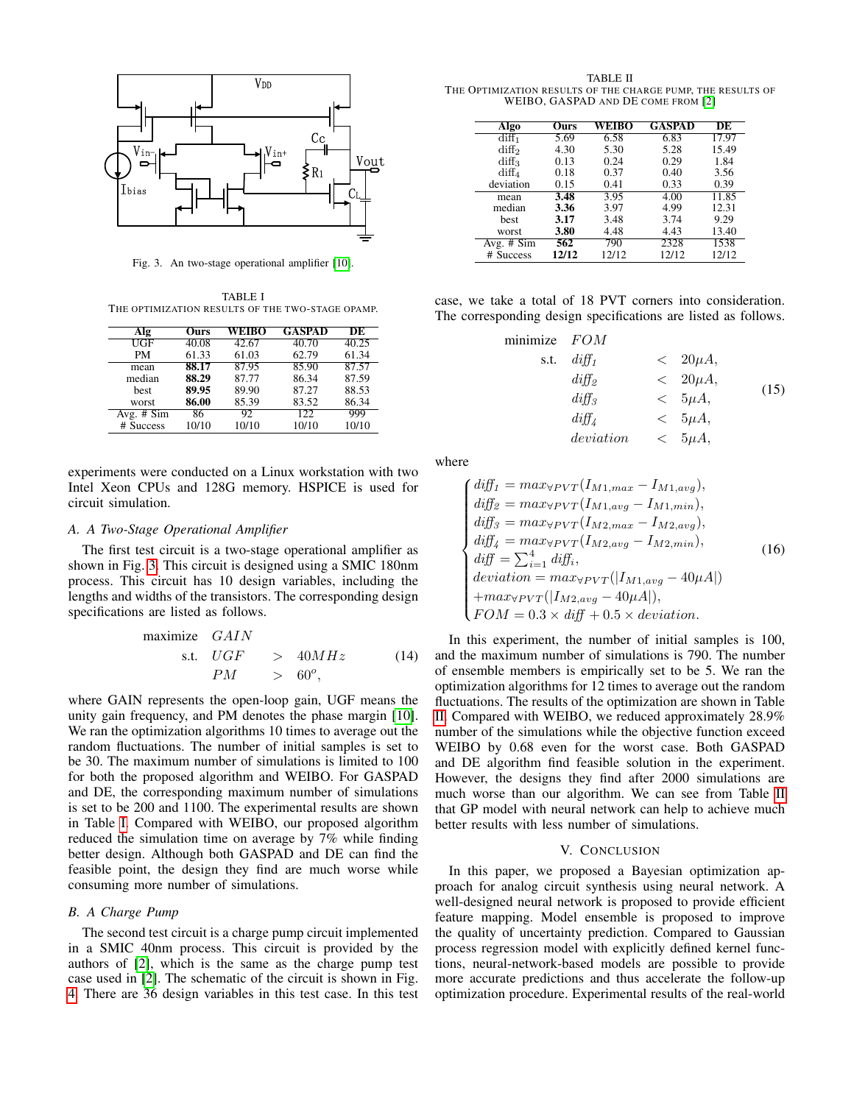

<span id="page-4-0"></span>Fig. 3. An two-stage operational amplifier [\[10\]](#page-5-8).

<span id="page-4-1"></span>TABLE I THE OPTIMIZATION RESULTS OF THE TWO-STAGE OPAMP.

| Alg          | Ours  | WEIBO | <b>GASPAD</b> | DE    |
|--------------|-------|-------|---------------|-------|
| UGF          | 40.08 | 42.67 | 40.70         | 40.25 |
| PM           | 61.33 | 61.03 | 62.79         | 61.34 |
| mean         | 88.17 | 87.95 | 85.90         | 87.57 |
| median       | 88.29 | 87.77 | 86.34         | 87.59 |
| <b>best</b>  | 89.95 | 89.90 | 87.27         | 88.53 |
| worst        | 86.00 | 85.39 | 83.52         | 86.34 |
| Avg. $# Sim$ | 86    | 92    | 122           | 999   |
| # Success    | 10/10 | 10/10 | 10/10         | 10/10 |

experiments were conducted on a Linux workstation with two Intel Xeon CPUs and 128G memory. HSPICE is used for circuit simulation.

# *A. A Two-Stage Operational Amplifier*

The first test circuit is a two-stage operational amplifier as shown in Fig. [3.](#page-4-0) This circuit is designed using a SMIC 180nm process. This circuit has 10 design variables, including the lengths and widths of the transistors. The corresponding design specifications are listed as follows.

$$
\begin{array}{rcl}\n\text{maximize} & GAIN \\
\text{s.t.} & UGF > 40MHz \\
PM > 60^{\circ},\n\end{array} \tag{14}
$$

where GAIN represents the open-loop gain, UGF means the unity gain frequency, and PM denotes the phase margin [\[10\]](#page-5-8). We ran the optimization algorithms 10 times to average out the random fluctuations. The number of initial samples is set to be 30. The maximum number of simulations is limited to 100 for both the proposed algorithm and WEIBO. For GASPAD and DE, the corresponding maximum number of simulations is set to be 200 and 1100. The experimental results are shown in Table [I.](#page-4-1) Compared with WEIBO, our proposed algorithm reduced the simulation time on average by 7% while finding better design. Although both GASPAD and DE can find the feasible point, the design they find are much worse while consuming more number of simulations.

# *B. A Charge Pump*

The second test circuit is a charge pump circuit implemented in a SMIC 40nm process. This circuit is provided by the authors of [\[2\]](#page-5-1), which is the same as the charge pump test case used in [\[2\]](#page-5-1). The schematic of the circuit is shown in Fig. [4.](#page-5-20) There are 36 design variables in this test case. In this test

<span id="page-4-2"></span>TABLE II THE OPTIMIZATION RESULTS OF THE CHARGE PUMP, THE RESULTS OF WEIBO, GASPAD AND DE COME FROM [\[2\]](#page-5-1)

| Algo              | Ours  | WEIBO | <b>GASPAD</b> | DE    |
|-------------------|-------|-------|---------------|-------|
| diff <sub>1</sub> | 5.69  | 6.58  | 6.83          | 17.97 |
| diff <sub>2</sub> | 4.30  | 5.30  | 5.28          | 15.49 |
| diff <sub>3</sub> | 0.13  | 0.24  | 0.29          | 1.84  |
| $diff_4$          | 0.18  | 0.37  | 0.40          | 3.56  |
| deviation         | 0.15  | 0.41  | 0.33          | 0.39  |
| mean              | 3.48  | 3.95  | 4.00          | 11.85 |
| median            | 3.36  | 3.97  | 4.99          | 12.31 |
| <b>best</b>       | 3.17  | 3.48  | 3.74          | 9.29  |
| worst             | 3.80  | 4.48  | 4.43          | 13.40 |
| Avg. $# Sim$      | 562   | 790   | 2328          | 1538  |
| <b>Success</b>    | 12/12 | 12/12 | 12/12         | 12/12 |

case, we take a total of 18 PVT corners into consideration. The corresponding design specifications are listed as follows.

| minimize $FOM$ |              |                    |      |
|----------------|--------------|--------------------|------|
| s.t.           | $di\!f\!f_1$ | $\langle 20\mu A,$ |      |
|                | $diff_2$     | $\langle 20\mu A,$ |      |
|                | $di\!f\!f_3$ | $< 5\mu A,$        | (15) |
|                | $di\!f\!f$   | $< 5\mu A,$        |      |
|                | deviation    | $< 5\mu A,$        |      |

where

$$
\begin{cases}\ndiff_1 = max_{\forall PVT}(I_{M1,max} - I_{M1,avg}),\ndiff_2 = max_{\forall PVT}(I_{M1,avg} - I_{M1,min}),\ndiff_3 = max_{\forall PVT}(I_{M2,max} - I_{M2,avg}),\ndiff_4 = max_{\forall PVT}(I_{M2,avg} - I_{M2,min}),\ndiff_5 = \sum_{i=1}^4 diff_i,\ndeviation = max_{\forall PVT}(|I_{M1,avg} - 40\mu A|)+ max_{\forall PVT}(|I_{M2,avg} - 40\mu A|),\nFOM = 0.3 \times diff + 0.5 \times deviation.\n\end{cases} (16)
$$

In this experiment, the number of initial samples is 100, and the maximum number of simulations is 790. The number of ensemble members is empirically set to be 5. We ran the optimization algorithms for 12 times to average out the random fluctuations. The results of the optimization are shown in Table [II.](#page-4-2) Compared with WEIBO, we reduced approximately 28.9% number of the simulations while the objective function exceed WEIBO by 0.68 even for the worst case. Both GASPAD and DE algorithm find feasible solution in the experiment. However, the designs they find after 2000 simulations are much worse than our algorithm. We can see from Table [II](#page-4-2) that GP model with neural network can help to achieve much better results with less number of simulations.

# V. CONCLUSION

In this paper, we proposed a Bayesian optimization approach for analog circuit synthesis using neural network. A well-designed neural network is proposed to provide efficient feature mapping. Model ensemble is proposed to improve the quality of uncertainty prediction. Compared to Gaussian process regression model with explicitly defined kernel functions, neural-network-based models are possible to provide more accurate predictions and thus accelerate the follow-up optimization procedure. Experimental results of the real-world